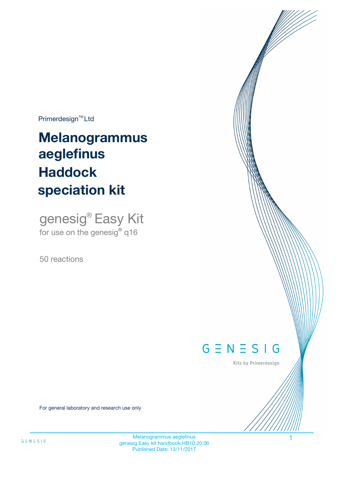$Primerdesign^{\text{TM}}Ltd$ 

# **Melanogrammus aeglefinus speciation kit Haddock**

genesig® Easy Kit for use on the genesig**®** q16

50 reactions



Kits by Primerdesign

For general laboratory and research use only

Melanogrammus aeglefinus 1 genesig Easy kit handbook HB10.20.06 Published Date: 13/11/2017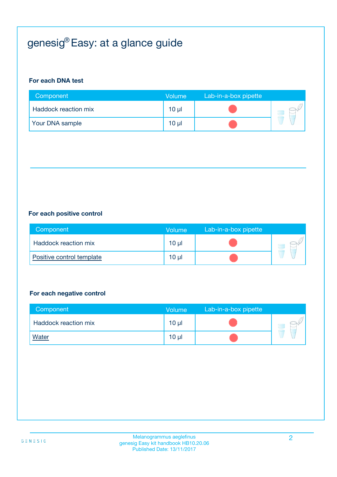# genesig® Easy: at a glance guide

#### **For each DNA test**

| Component            | Volume          | Lab-in-a-box pipette |  |
|----------------------|-----------------|----------------------|--|
| Haddock reaction mix | $10 \mu$        |                      |  |
| Your DNA sample      | 10 <sub>µ</sub> |                      |  |

#### **For each positive control**

| Component                 | Volume          | Lab-in-a-box pipette |  |
|---------------------------|-----------------|----------------------|--|
| Haddock reaction mix      | 10 <sub>µ</sub> |                      |  |
| Positive control template | 10 <sub>µ</sub> |                      |  |

#### **For each negative control**

| Component            | <b>Volume</b>   | Lab-in-a-box pipette |  |
|----------------------|-----------------|----------------------|--|
| Haddock reaction mix | $10 \mu$        |                      |  |
| <b>Water</b>         | 10 <sub>µ</sub> |                      |  |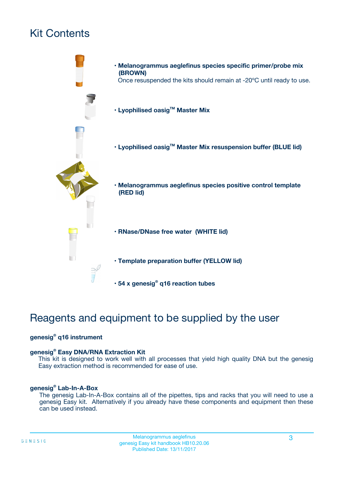# Kit Contents



# Reagents and equipment to be supplied by the user

#### **genesig® q16 instrument**

#### **genesig® Easy DNA/RNA Extraction Kit**

This kit is designed to work well with all processes that yield high quality DNA but the genesig Easy extraction method is recommended for ease of use.

#### **genesig® Lab-In-A-Box**

The genesig Lab-In-A-Box contains all of the pipettes, tips and racks that you will need to use a genesig Easy kit. Alternatively if you already have these components and equipment then these can be used instead.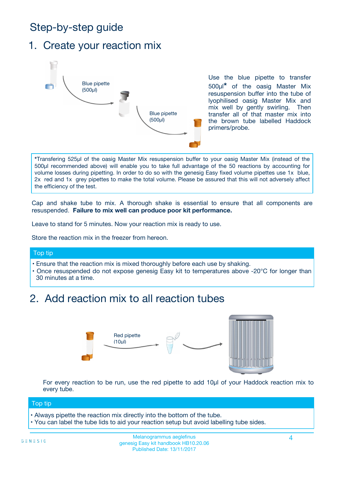# Step-by-step guide

### 1. Create your reaction mix



Use the blue pipette to transfer 500µl**\*** of the oasig Master Mix resuspension buffer into the tube of lyophilised oasig Master Mix and mix well by gently swirling. Then transfer all of that master mix into the brown tube labelled Haddock primers/probe.

**\***Transfering 525µl of the oasig Master Mix resuspension buffer to your oasig Master Mix (instead of the 500µl recommended above) will enable you to take full advantage of the 50 reactions by accounting for volume losses during pipetting. In order to do so with the genesig Easy fixed volume pipettes use 1x blue, 2x red and 1x grey pipettes to make the total volume. Please be assured that this will not adversely affect the efficiency of the test.

Cap and shake tube to mix. A thorough shake is essential to ensure that all components are resuspended. **Failure to mix well can produce poor kit performance.**

Leave to stand for 5 minutes. Now your reaction mix is ready to use.

Store the reaction mix in the freezer from hereon.

#### Top tip

- Ensure that the reaction mix is mixed thoroughly before each use by shaking.
- **•** Once resuspended do not expose genesig Easy kit to temperatures above -20°C for longer than 30 minutes at a time.

# 2. Add reaction mix to all reaction tubes



For every reaction to be run, use the red pipette to add 10µl of your Haddock reaction mix to every tube.

#### Top tip

- Always pipette the reaction mix directly into the bottom of the tube.
- You can label the tube lids to aid your reaction setup but avoid labelling tube sides.

#### Melanogrammus aeglefinus **4** and 4 and 4 and 4 and 4 and 4 and 4 and 4 and 4 and 4 and 4 and 4 and 4 and 4 and 4 and 4 and 4 and 4 and 4 and 4 and 4 and 4 and 4 and 4 and 4 and 4 and 4 and 4 and 4 and 4 and 4 and 4 and 4 a genesig Easy kit handbook HB10.20.06 Published Date: 13/11/2017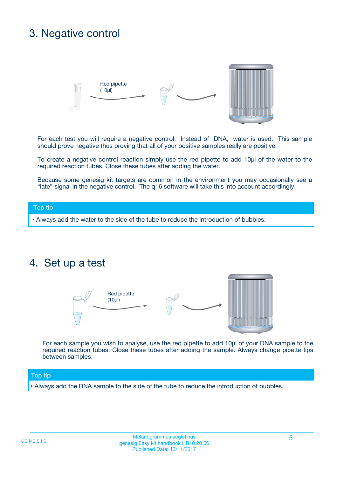### 3. Negative control



For each test you will require a negative control. Instead of DNA, water is used. This sample should prove negative thus proving that all of your positive samples really are positive.

To create a negative control reaction simply use the red pipette to add 10µl of the water to the required reaction tubes. Close these tubes after adding the water.

Because some genesig kit targets are common in the environment you may occasionally see a "late" signal in the negative control. The q16 software will take this into account accordingly.

#### Top tip

**•** Always add the water to the side of the tube to reduce the introduction of bubbles.

### 4. Set up a test



For each sample you wish to analyse, use the red pipette to add 10µl of your DNA sample to the required reaction tubes. Close these tubes after adding the sample. Always change pipette tips between samples.

#### Top tip

**•** Always add the DNA sample to the side of the tube to reduce the introduction of bubbles.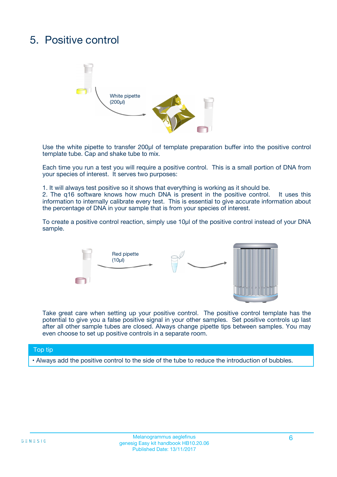# 5. Positive control



Use the white pipette to transfer 200µl of template preparation buffer into the positive control template tube. Cap and shake tube to mix.

Each time you run a test you will require a positive control. This is a small portion of DNA from your species of interest. It serves two purposes:

1. It will always test positive so it shows that everything is working as it should be.

2. The q16 software knows how much DNA is present in the positive control. It uses this information to internally calibrate every test. This is essential to give accurate information about the percentage of DNA in your sample that is from your species of interest.

To create a positive control reaction, simply use 10µl of the positive control instead of your DNA sample.



Take great care when setting up your positive control. The positive control template has the potential to give you a false positive signal in your other samples. Set positive controls up last after all other sample tubes are closed. Always change pipette tips between samples. You may even choose to set up positive controls in a separate room.

#### Top tip

**•** Always add the positive control to the side of the tube to reduce the introduction of bubbles.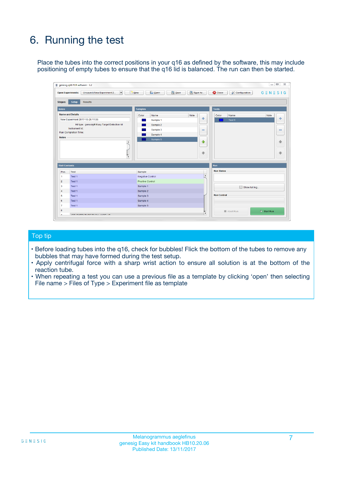# 6. Running the test

Place the tubes into the correct positions in your q16 as defined by the software, this may include positioning of empty tubes to ensure that the q16 lid is balanced. The run can then be started.

|                      | genesig q16 PCR software - 1.2                                                    |                                     | $\qquad \qquad \Box$                                                                    |
|----------------------|-----------------------------------------------------------------------------------|-------------------------------------|-----------------------------------------------------------------------------------------|
|                      | Unsaved (New Experiment 2<br>$\overline{\phantom{a}}$<br><b>Open Experiments:</b> | <b>E</b> Open<br>Save<br>$\Box$ New | Save As<br><b>B</b> Close<br>$G \equiv N \equiv S \mid G$<br><b>&amp; Configuration</b> |
| Stages:              | Setup<br><b>Results</b>                                                           |                                     |                                                                                         |
| <b>Notes</b>         |                                                                                   | <b>Samples</b>                      | <b>Tests</b>                                                                            |
|                      | <b>Name and Details</b>                                                           | Note<br>Color<br>Name               | Note<br>Color<br>Name                                                                   |
|                      | New Experiment 2017-10-26 11:06                                                   | Sample 1                            | 유<br>÷<br>Test <sub>1</sub>                                                             |
|                      | Kit type: genesig® Easy Target Detection kit                                      | Sample 2                            |                                                                                         |
|                      | Instrument Id.:                                                                   | Sample 3                            | $\qquad \qquad \blacksquare$<br>$\qquad \qquad \blacksquare$                            |
|                      | <b>Run Completion Time:</b>                                                       | Sample 4                            |                                                                                         |
| <b>Notes</b>         | $\blacktriangle$<br>$\mathbf{v}$                                                  | Sample 5                            | ♦<br>4<br>÷<br>€                                                                        |
| <b>Well Contents</b> |                                                                                   |                                     | <b>Run</b>                                                                              |
| Pos.                 | Test                                                                              | Sample                              | <b>Run Status</b>                                                                       |
| 1                    | Test 1                                                                            | <b>Negative Control</b>             | $\blacktriangle$                                                                        |
| $\overline{2}$       | Test 1                                                                            | <b>Positive Control</b>             |                                                                                         |
| 3                    | Test 1                                                                            | Sample 1                            | Show full log                                                                           |
| $\overline{4}$       | Test 1                                                                            | Sample 2                            |                                                                                         |
| 5                    | Test 1                                                                            | Sample 3                            | <b>Run Control</b>                                                                      |
| 6                    | Test 1                                                                            | Sample 4                            |                                                                                         |
|                      | Test 1                                                                            | Sample 5                            |                                                                                         |
|                      |                                                                                   |                                     |                                                                                         |
| $\overline{7}$<br>8  |                                                                                   |                                     | Abort Run<br>$\triangleright$ Start Run<br>$\overline{\mathbf{v}}$                      |

#### Top tip

- Before loading tubes into the q16, check for bubbles! Flick the bottom of the tubes to remove any bubbles that may have formed during the test setup.
- Apply centrifugal force with a sharp wrist action to ensure all solution is at the bottom of the reaction tube.
- When repeating a test you can use a previous file as a template by clicking 'open' then selecting File name > Files of Type > Experiment file as template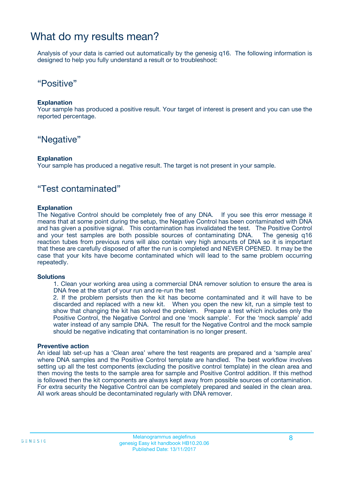### What do my results mean?

Analysis of your data is carried out automatically by the genesig q16. The following information is designed to help you fully understand a result or to troubleshoot:

### "Positive"

#### **Explanation**

Your sample has produced a positive result. Your target of interest is present and you can use the reported percentage.

### "Negative"

#### **Explanation**

Your sample has produced a negative result. The target is not present in your sample.

### "Test contaminated"

#### **Explanation**

The Negative Control should be completely free of any DNA. If you see this error message it means that at some point during the setup, the Negative Control has been contaminated with DNA and has given a positive signal. This contamination has invalidated the test. The Positive Control and your test samples are both possible sources of contaminating DNA. The genesig q16 reaction tubes from previous runs will also contain very high amounts of DNA so it is important that these are carefully disposed of after the run is completed and NEVER OPENED. It may be the case that your kits have become contaminated which will lead to the same problem occurring repeatedly.

#### **Solutions**

1. Clean your working area using a commercial DNA remover solution to ensure the area is DNA free at the start of your run and re-run the test

2. If the problem persists then the kit has become contaminated and it will have to be discarded and replaced with a new kit. When you open the new kit, run a simple test to show that changing the kit has solved the problem. Prepare a test which includes only the Positive Control, the Negative Control and one 'mock sample'. For the 'mock sample' add water instead of any sample DNA. The result for the Negative Control and the mock sample should be negative indicating that contamination is no longer present.

#### **Preventive action**

An ideal lab set-up has a 'Clean area' where the test reagents are prepared and a 'sample area' where DNA samples and the Positive Control template are handled. The best workflow involves setting up all the test components (excluding the positive control template) in the clean area and then moving the tests to the sample area for sample and Positive Control addition. If this method is followed then the kit components are always kept away from possible sources of contamination. For extra security the Negative Control can be completely prepared and sealed in the clean area. All work areas should be decontaminated regularly with DNA remover.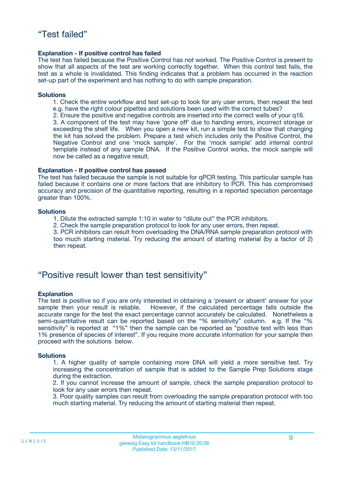#### **Explanation - If positive control has failed**

The test has failed because the Positive Control has not worked. The Positive Control is present to show that all aspects of the test are working correctly together. When this control test fails, the test as a whole is invalidated. This finding indicates that a problem has occurred in the reaction set-up part of the experiment and has nothing to do with sample preparation.

#### **Solutions**

- 1. Check the entire workflow and test set-up to look for any user errors, then repeat the test e.g. have the right colour pipettes and solutions been used with the correct tubes?
- 2. Ensure the positive and negative controls are inserted into the correct wells of your q16.

3. A component of the test may have 'gone off' due to handing errors, incorrect storage or exceeding the shelf life. When you open a new kit, run a simple test to show that changing the kit has solved the problem. Prepare a test which includes only the Positive Control, the Negative Control and one 'mock sample'. For the 'mock sample' add internal control template instead of any sample DNA. If the Positive Control works, the mock sample will now be called as a negative result.

#### **Explanation - If positive control has passed**

The test has failed because the sample is not suitable for qPCR testing. This particular sample has failed because it contains one or more factors that are inhibitory to PCR. This has compromised accuracy and precision of the quantitative reporting, resulting in a reported speciation percentage greater than 100%.

#### **Solutions**

- 1. Dilute the extracted sample 1:10 in water to "dilute out" the PCR inhibitors.
- 2. Check the sample preparation protocol to look for any user errors, then repeat.

3. PCR inhibitors can result from overloading the DNA/RNA sample preparation protocol with too much starting material. Try reducing the amount of starting material (by a factor of 2) then repeat.

### "Positive result lower than test sensitivity"

#### **Explanation**

The test is positive so if you are only interested in obtaining a 'present or absent' answer for your sample then your result is reliable. However, if the calculated percentage falls outside the accurate range for the test the exact percentage cannot accurately be calculated. Nonetheless a semi-quantitative result can be reported based on the "% sensitivity" column. e.g. If the "% sensitivity" is reported at "1%" then the sample can be reported as "positive test with less than 1% presence of species of interest". If you require more accurate information for your sample then proceed with the solutions below.

#### **Solutions**

1. A higher quality of sample containing more DNA will yield a more sensitive test. Try increasing the concentration of sample that is added to the Sample Prep Solutions stage during the extraction.

2. If you cannot increase the amount of sample, check the sample preparation protocol to look for any user errors then repeat.

3. Poor quality samples can result from overloading the sample preparation protocol with too much starting material. Try reducing the amount of starting material then repeat.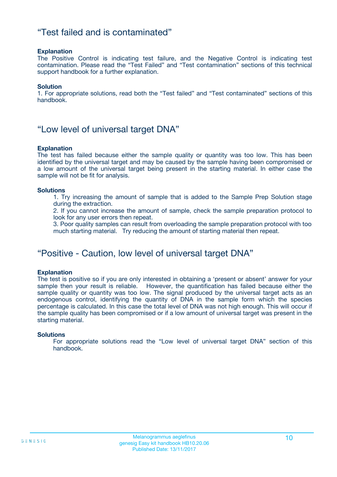### "Test failed and is contaminated"

#### **Explanation**

The Positive Control is indicating test failure, and the Negative Control is indicating test contamination. Please read the "Test Failed" and "Test contamination" sections of this technical support handbook for a further explanation.

#### **Solution**

1. For appropriate solutions, read both the "Test failed" and "Test contaminated" sections of this handbook.

### "Low level of universal target DNA"

#### **Explanation**

The test has failed because either the sample quality or quantity was too low. This has been identified by the universal target and may be caused by the sample having been compromised or a low amount of the universal target being present in the starting material. In either case the sample will not be fit for analysis.

#### **Solutions**

1. Try increasing the amount of sample that is added to the Sample Prep Solution stage during the extraction.

2. If you cannot increase the amount of sample, check the sample preparation protocol to look for any user errors then repeat.

3. Poor quality samples can result from overloading the sample preparation protocol with too much starting material. Try reducing the amount of starting material then repeat.

### "Positive - Caution, low level of universal target DNA"

#### **Explanation**

The test is positive so if you are only interested in obtaining a 'present or absent' answer for your sample then your result is reliable. However, the quantification has failed because either the sample quality or quantity was too low. The signal produced by the universal target acts as an endogenous control, identifying the quantity of DNA in the sample form which the species percentage is calculated. In this case the total level of DNA was not high enough. This will occur if the sample quality has been compromised or if a low amount of universal target was present in the starting material.

#### **Solutions**

For appropriate solutions read the "Low level of universal target DNA" section of this handbook.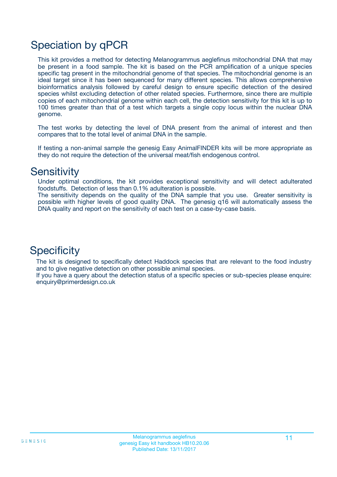# Speciation by qPCR

This kit provides a method for detecting Melanogrammus aeglefinus mitochondrial DNA that may be present in a food sample. The kit is based on the PCR amplification of a unique species specific tag present in the mitochondrial genome of that species. The mitochondrial genome is an ideal target since it has been sequenced for many different species. This allows comprehensive bioinformatics analysis followed by careful design to ensure specific detection of the desired species whilst excluding detection of other related species. Furthermore, since there are multiple copies of each mitochondrial genome within each cell, the detection sensitivity for this kit is up to 100 times greater than that of a test which targets a single copy locus within the nuclear DNA genome.

The test works by detecting the level of DNA present from the animal of interest and then compares that to the total level of animal DNA in the sample.

If testing a non-animal sample the genesig Easy AnimalFINDER kits will be more appropriate as they do not require the detection of the universal meat/fish endogenous control.

### **Sensitivity**

Under optimal conditions, the kit provides exceptional sensitivity and will detect adulterated foodstuffs. Detection of less than 0.1% adulteration is possible.

The sensitivity depends on the quality of the DNA sample that you use. Greater sensitivity is possible with higher levels of good quality DNA. The genesig q16 will automatically assess the DNA quality and report on the sensitivity of each test on a case-by-case basis.

### **Specificity**

The kit is designed to specifically detect Haddock species that are relevant to the food industry and to give negative detection on other possible animal species.

If you have a query about the detection status of a specific species or sub-species please enquire: enquiry@primerdesign.co.uk